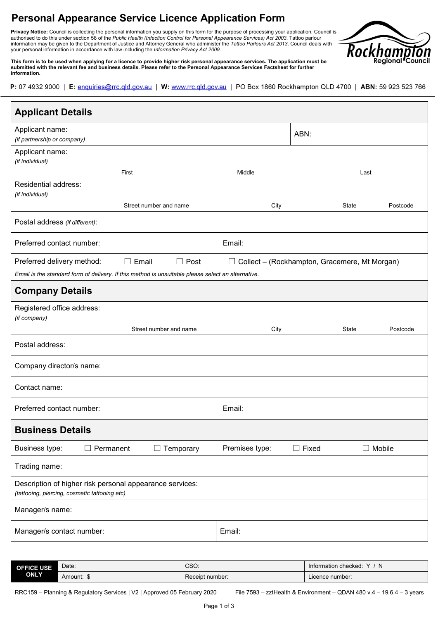## **Personal Appearance Service Licence Application Form**

**Privacy Notice:** Council is collecting the personal information you supply on this form for the purpose of processing your application*.* Council is authorised to do this under section 58 of the *Public Health (Infection Control for Personal Appearance Services) Act 2003*. Tattoo parlour information may be given to the Department of Justice and Attorney General who administer the *Tattoo Parlours Act 2013*. Council deals with your personal information in accordance with law including the *Information Privacy Act 2009.*



**This form is to be used when applying for a licence to provide higher risk personal appearance services. The application must be submitted with the relevant fee and business details. Please refer to the Personal Appearance Services Factsheet for further information.**

P: 07 4932 9000 | E: enquiries@rrc.qld.gov.au | W: www.rrc.qld.gov.au | PO Box 1860 Rockhampton QLD 4700 | ABN: 59 923 523 766

| <b>Applicant Details</b>                                                                                  |                        |                        |                                                      |              |               |
|-----------------------------------------------------------------------------------------------------------|------------------------|------------------------|------------------------------------------------------|--------------|---------------|
| Applicant name:<br>(if partnership or company)                                                            |                        |                        |                                                      | ABN:         |               |
| Applicant name:<br>(if individual)                                                                        |                        |                        |                                                      |              |               |
|                                                                                                           | First                  |                        | Middle                                               |              | Last          |
| Residential address:<br>(if individual)                                                                   |                        |                        |                                                      |              |               |
|                                                                                                           | Street number and name |                        | City                                                 | State        | Postcode      |
| Postal address (if different):                                                                            |                        |                        |                                                      |              |               |
| Preferred contact number:                                                                                 |                        |                        | Email:                                               |              |               |
| Preferred delivery method:                                                                                | $\square$ Email        | $\Box$ Post            | $\Box$ Collect – (Rockhampton, Gracemere, Mt Morgan) |              |               |
| Email is the standard form of delivery. If this method is unsuitable please select an alternative.        |                        |                        |                                                      |              |               |
| <b>Company Details</b>                                                                                    |                        |                        |                                                      |              |               |
| Registered office address:<br>(if company)                                                                |                        |                        |                                                      |              |               |
|                                                                                                           |                        | Street number and name | City                                                 | State        | Postcode      |
| Postal address:                                                                                           |                        |                        |                                                      |              |               |
| Company director/s name:                                                                                  |                        |                        |                                                      |              |               |
| Contact name:                                                                                             |                        |                        |                                                      |              |               |
| Preferred contact number:                                                                                 |                        |                        | Email:                                               |              |               |
| <b>Business Details</b>                                                                                   |                        |                        |                                                      |              |               |
| Business type:<br>$\Box$ Permanent                                                                        |                        | $\Box$ Temporary       | Premises type:                                       | $\Box$ Fixed | $\Box$ Mobile |
| Trading name:                                                                                             |                        |                        |                                                      |              |               |
| Description of higher risk personal appearance services:<br>(tattooing, piercing, cosmetic tattooing etc) |                        |                        |                                                      |              |               |
| Manager/s name:                                                                                           |                        |                        |                                                      |              |               |
| Manager/s contact number:                                                                                 |                        |                        | Email:                                               |              |               |

| <b>OFFICE USE</b><br><b>ONLY</b> | Date:   | CSO:            | <sup>N</sup><br>Information checked:<br>$\lambda$ |
|----------------------------------|---------|-----------------|---------------------------------------------------|
|                                  | Amount: | Receipt number: | Licence number:                                   |

RRC159 – Planning & Regulatory Services | V2 | Approved 05 February 2020 File 7593 – zztHealth & Environment – QDAN 480 v.4 – 19.6.4 – 3 years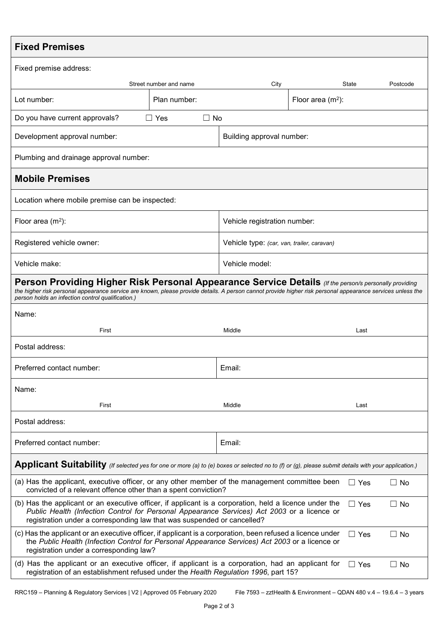| <b>Fixed Premises</b>                                                                                                                                                                                                                                                                                                            |                              |                                            |                     |       |          |
|----------------------------------------------------------------------------------------------------------------------------------------------------------------------------------------------------------------------------------------------------------------------------------------------------------------------------------|------------------------------|--------------------------------------------|---------------------|-------|----------|
| Fixed premise address:                                                                                                                                                                                                                                                                                                           |                              |                                            |                     |       |          |
|                                                                                                                                                                                                                                                                                                                                  | Street number and name       | City                                       |                     | State | Postcode |
| Lot number:                                                                                                                                                                                                                                                                                                                      | Plan number:                 |                                            | Floor area $(m2)$ : |       |          |
| Do you have current approvals?                                                                                                                                                                                                                                                                                                   | $\Box$ No<br>$\Box$ Yes      |                                            |                     |       |          |
| Development approval number:                                                                                                                                                                                                                                                                                                     |                              | Building approval number:                  |                     |       |          |
| Plumbing and drainage approval number:                                                                                                                                                                                                                                                                                           |                              |                                            |                     |       |          |
| <b>Mobile Premises</b>                                                                                                                                                                                                                                                                                                           |                              |                                            |                     |       |          |
| Location where mobile premise can be inspected:                                                                                                                                                                                                                                                                                  |                              |                                            |                     |       |          |
| Floor area $(m2)$ :                                                                                                                                                                                                                                                                                                              | Vehicle registration number: |                                            |                     |       |          |
| Registered vehicle owner:                                                                                                                                                                                                                                                                                                        |                              | Vehicle type: (car, van, trailer, caravan) |                     |       |          |
| Vehicle model:<br>Vehicle make:                                                                                                                                                                                                                                                                                                  |                              |                                            |                     |       |          |
| <b>Person Providing Higher Risk Personal Appearance Service Details</b> (If the person/s personally providing<br>the higher risk personal appearance service are known, please provide details. A person cannot provide higher risk personal appearance services unless the<br>person holds an infection control qualification.) |                              |                                            |                     |       |          |
| Name:                                                                                                                                                                                                                                                                                                                            |                              |                                            |                     |       |          |
| First                                                                                                                                                                                                                                                                                                                            |                              | Middle                                     |                     | Last  |          |
| Postal address:                                                                                                                                                                                                                                                                                                                  |                              |                                            |                     |       |          |
| Preferred contact number:                                                                                                                                                                                                                                                                                                        |                              | Email:                                     |                     |       |          |
| Name:                                                                                                                                                                                                                                                                                                                            |                              |                                            |                     |       |          |
| First                                                                                                                                                                                                                                                                                                                            |                              | Middle                                     |                     | Last  |          |
| Postal address:                                                                                                                                                                                                                                                                                                                  |                              |                                            |                     |       |          |
| Preferred contact number:                                                                                                                                                                                                                                                                                                        |                              | Email:                                     |                     |       |          |
| Applicant Suitability (If selected yes for one or more (a) to (e) boxes or selected no to (f) or (g), please submit details with your application.)                                                                                                                                                                              |                              |                                            |                     |       |          |
| (a) Has the applicant, executive officer, or any other member of the management committee been<br>$\Box$ No<br>$\Box$ Yes<br>convicted of a relevant offence other than a spent conviction?                                                                                                                                      |                              |                                            |                     |       |          |
| (b) Has the applicant or an executive officer, if applicant is a corporation, held a licence under the<br>$\Box$ Yes<br>$\Box$ No<br>Public Health (Infection Control for Personal Appearance Services) Act 2003 or a licence or<br>registration under a corresponding law that was suspended or cancelled?                      |                              |                                            |                     |       |          |
| (c) Has the applicant or an executive officer, if applicant is a corporation, been refused a licence under<br>$\Box$ No<br>$\Box$ Yes<br>the Public Health (Infection Control for Personal Appearance Services) Act 2003 or a licence or<br>registration under a corresponding law?                                              |                              |                                            |                     |       |          |
| (d) Has the applicant or an executive officer, if applicant is a corporation, had an applicant for<br>$\Box$ No<br>$\Box$ Yes<br>registration of an establishment refused under the Health Regulation 1996, part 15?                                                                                                             |                              |                                            |                     |       |          |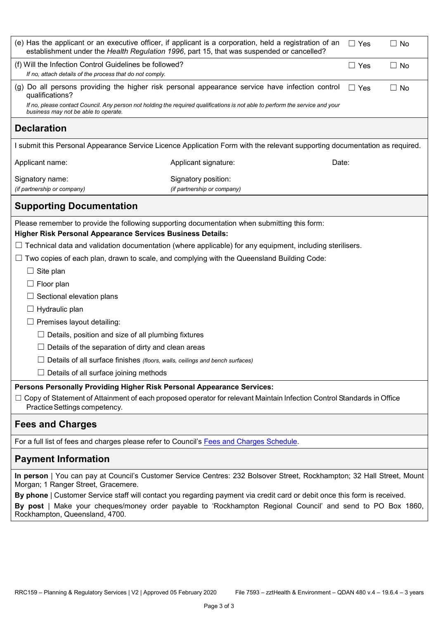|                                                                                                                                              | (e) Has the applicant or an executive officer, if applicant is a corporation, held a registration of an<br>establishment under the Health Regulation 1996, part 15, that was suspended or cancelled? | $\Box$ Yes | $\Box$ No |  |  |
|----------------------------------------------------------------------------------------------------------------------------------------------|------------------------------------------------------------------------------------------------------------------------------------------------------------------------------------------------------|------------|-----------|--|--|
| (f) Will the Infection Control Guidelines be followed?<br>$\Box$ Yes<br>If no, attach details of the process that do not comply.             |                                                                                                                                                                                                      |            |           |  |  |
| (g) Do all persons providing the higher risk personal appearance service have infection control<br>qualifications?                           | $\Box$ Yes                                                                                                                                                                                           | $\Box$ No  |           |  |  |
| business may not be able to operate.                                                                                                         | If no, please contact Council. Any person not holding the required qualifications is not able to perform the service and your                                                                        |            |           |  |  |
| <b>Declaration</b>                                                                                                                           |                                                                                                                                                                                                      |            |           |  |  |
|                                                                                                                                              | I submit this Personal Appearance Service Licence Application Form with the relevant supporting documentation as required.                                                                           |            |           |  |  |
| Applicant name:                                                                                                                              | Applicant signature:                                                                                                                                                                                 | Date:      |           |  |  |
| Signatory name:<br>(if partnership or company)                                                                                               | Signatory position:<br>(if partnership or company)                                                                                                                                                   |            |           |  |  |
| <b>Supporting Documentation</b>                                                                                                              |                                                                                                                                                                                                      |            |           |  |  |
| <b>Higher Risk Personal Appearance Services Business Details:</b>                                                                            | Please remember to provide the following supporting documentation when submitting this form:                                                                                                         |            |           |  |  |
|                                                                                                                                              | $\Box$ Technical data and validation documentation (where applicable) for any equipment, including sterilisers.                                                                                      |            |           |  |  |
| ப                                                                                                                                            | Two copies of each plan, drawn to scale, and complying with the Queensland Building Code:                                                                                                            |            |           |  |  |
| Site plan                                                                                                                                    |                                                                                                                                                                                                      |            |           |  |  |
| Floor plan                                                                                                                                   |                                                                                                                                                                                                      |            |           |  |  |
| Sectional elevation plans                                                                                                                    |                                                                                                                                                                                                      |            |           |  |  |
| Hydraulic plan                                                                                                                               |                                                                                                                                                                                                      |            |           |  |  |
| Premises layout detailing:                                                                                                                   |                                                                                                                                                                                                      |            |           |  |  |
| $\Box$ Details, position and size of all plumbing fixtures                                                                                   |                                                                                                                                                                                                      |            |           |  |  |
| Details of the separation of dirty and clean areas                                                                                           |                                                                                                                                                                                                      |            |           |  |  |
| Details of all surface finishes (floors, walls, ceilings and bench surfaces)                                                                 |                                                                                                                                                                                                      |            |           |  |  |
| $\Box$ Details of all surface joining methods                                                                                                |                                                                                                                                                                                                      |            |           |  |  |
| Persons Personally Providing Higher Risk Personal Appearance Services:                                                                       |                                                                                                                                                                                                      |            |           |  |  |
| Practice Settings competency.                                                                                                                | □ Copy of Statement of Attainment of each proposed operator for relevant Maintain Infection Control Standards in Office                                                                              |            |           |  |  |
| <b>Fees and Charges</b>                                                                                                                      |                                                                                                                                                                                                      |            |           |  |  |
| For a full list of fees and charges please refer to Council's Fees and Charges Schedule.                                                     |                                                                                                                                                                                                      |            |           |  |  |
| <b>Payment Information</b>                                                                                                                   |                                                                                                                                                                                                      |            |           |  |  |
| Morgan; 1 Ranger Street, Gracemere.                                                                                                          | In person   You can pay at Council's Customer Service Centres: 232 Bolsover Street, Rockhampton; 32 Hall Street, Mount                                                                               |            |           |  |  |
|                                                                                                                                              | By phone   Customer Service staff will contact you regarding payment via credit card or debit once this form is received.                                                                            |            |           |  |  |
| By post   Make your cheques/money order payable to 'Rockhampton Regional Council' and send to PO Box 1860,<br>Rockhampton, Queensland, 4700. |                                                                                                                                                                                                      |            |           |  |  |